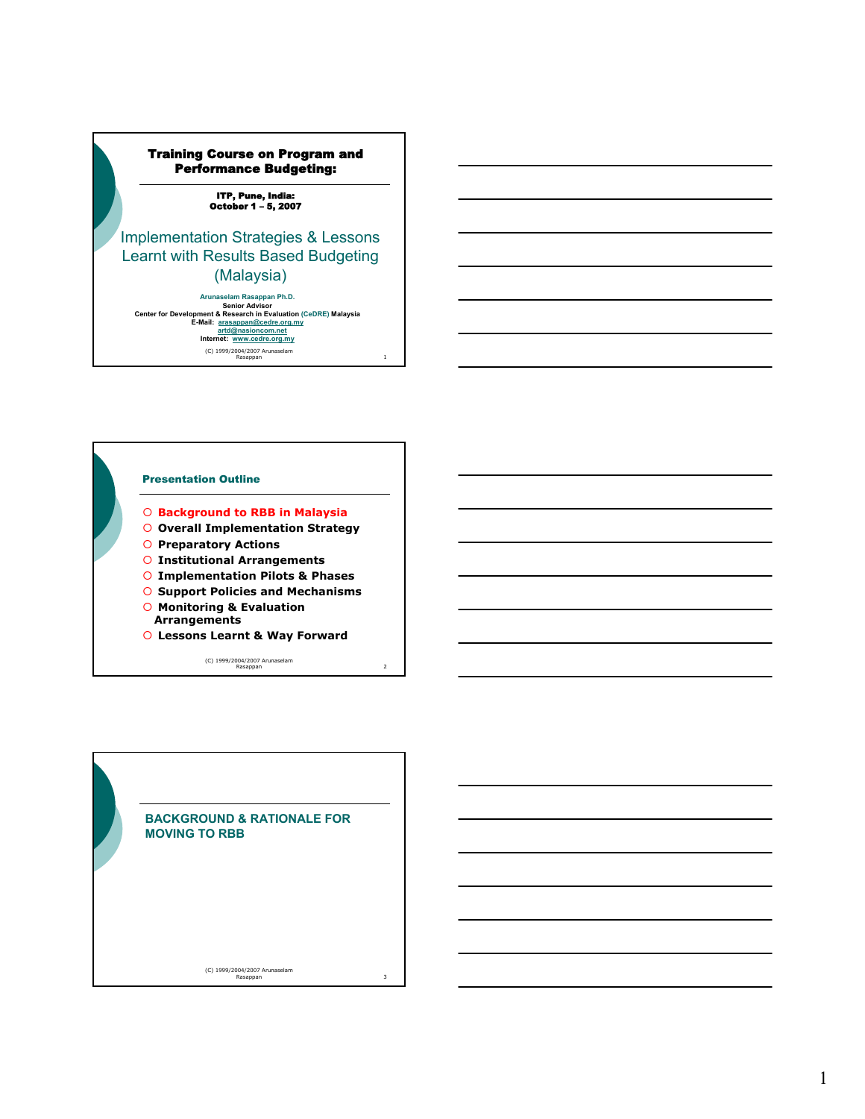# Training Course on Program and Performance Budgeting:

ITP, Pune, India: October 1 – 5, 2007

# Implementation Strategies & Lessons Learnt with Results Based Budgeting (Malaysia)

(C) 1999/2004/2007 Arunaselam Rasappan 1 Arunaselam Rasappan Ph.D.<br>
Senior Advisor<br>
Center for Development & Research in Evaluation (CeDRE) Malaysia<br>
E-Mail: arasappan@cedre.org.my<br>
artd@nasioncom.net<br>
Internet: www.cedre.org.my



- { **Background to RBB in Malaysia**
- { **Overall Implementation Strategy**
- { **Preparatory Actions**
- { **Institutional Arrangements**
- { **Implementation Pilots & Phases**
- { **Support Policies and Mechanisms**
- { **Monitoring & Evaluation Arrangements**
- { **Lessons Learnt & Way Forward**

(C) 1999/2004/2007 Arunaselam Rasappan 2

**BACKGROUND & RATIONALE FOR MOVING TO RBB**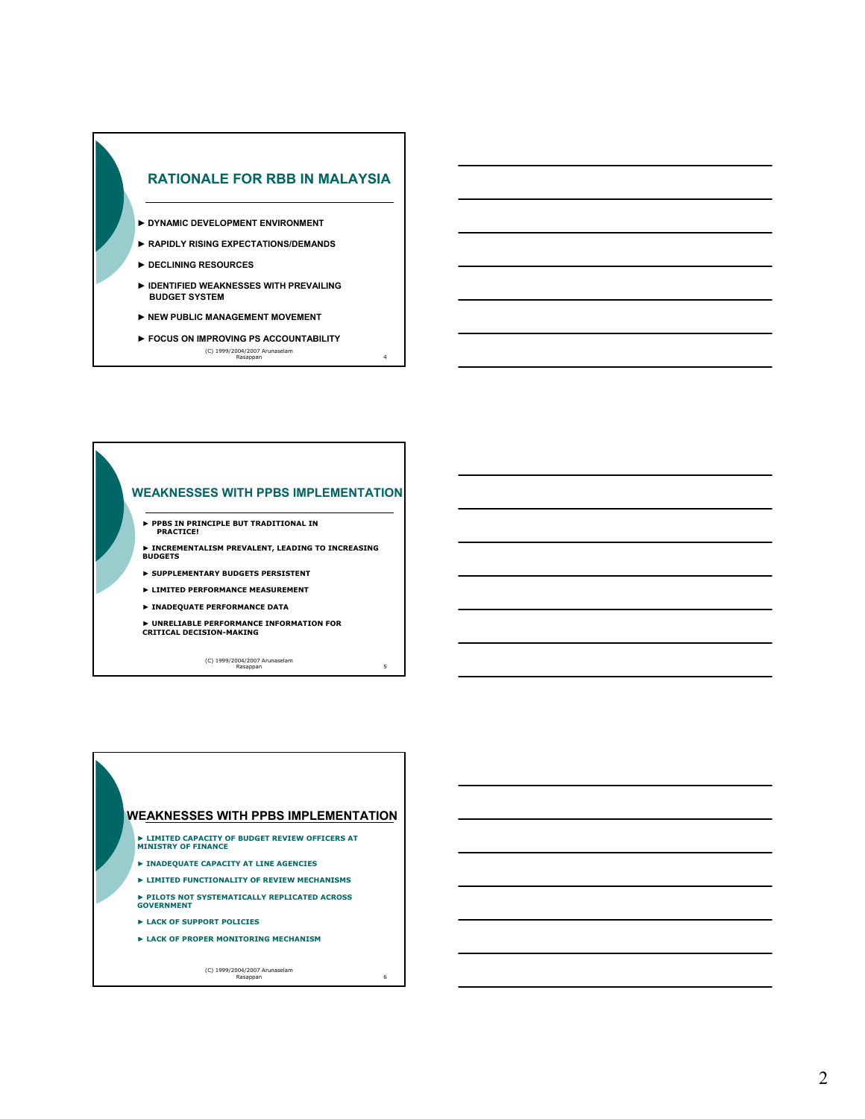

- **► DYNAMIC DEVELOPMENT ENVIRONMENT**
- **► RAPIDLY RISING EXPECTATIONS/DEMANDS**
- **► DECLINING RESOURCES**
- **► IDENTIFIED WEAKNESSES WITH PREVAILING BUDGET SYSTEM**
- **► NEW PUBLIC MANAGEMENT MOVEMENT**
- (C) 1999/2004/2007 Arunaselam Rasappan 4 **► FOCUS ON IMPROVING PS ACCOUNTABILITY**

## **WEAKNESSES WITH PPBS IMPLEMENTATION**

**► PPBS IN PRINCIPLE BUT TRADITIONAL IN PRACTICE!**

**► INCREMENTALISM PREVALENT, LEADING TO INCREASING BUDGETS**

- **► SUPPLEMENTARY BUDGETS PERSISTENT**
- **► LIMITED PERFORMANCE MEASUREMENT**
- **► INADEQUATE PERFORMANCE DATA**
- **► UNRELIABLE PERFORMANCE INFORMATION FOR CRITICAL DECISION-MAKING**

(C) 1999/2004/2007 Arunaselam Rasappan 5

## **WEAKNESSES WITH PPBS IMPLEMENTATION**

- **► LIMITED CAPACITY OF BUDGET REVIEW OFFICERS AT MINISTRY OF FINANCE**
- **► INADEQUATE CAPACITY AT LINE AGENCIES**
- **► LIMITED FUNCTIONALITY OF REVIEW MECHANISMS**
- **► PILOTS NOT SYSTEMATICALLY REPLICATED ACROSS GOVERNMENT**
- **► LACK OF SUPPORT POLICIES**
- **► LACK OF PROPER MONITORING MECHANISM**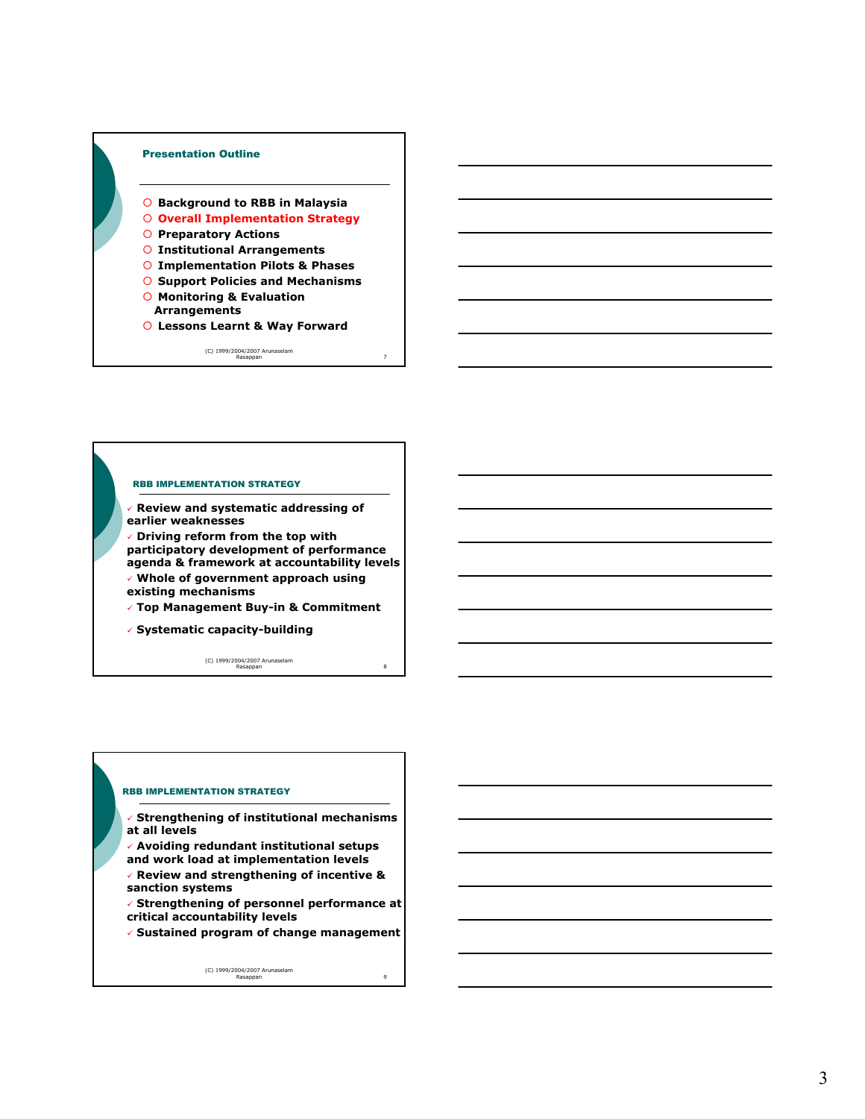

- { **Background to RBB in Malaysia**
- { **Overall Implementation Strategy**
- { **Preparatory Actions**
- { **Institutional Arrangements**
- { **Implementation Pilots & Phases**
- { **Support Policies and Mechanisms**
- { **Monitoring & Evaluation Arrangements**
- { **Lessons Learnt & Way Forward**

(C) 1999/2004/2007 Arunaselam Rasappan 7

#### RBB IMPLEMENTATION STRATEGY

- 9 **Review and systematic addressing of earlier weaknesses**
- 9 **Driving reform from the top with participatory development of performance agenda & framework at accountability levels**
- 9 **Whole of government approach using existing mechanisms**
- 9 **Top Management Buy-in & Commitment**
- 9 **Systematic capacity-building**

(C) 1999/2004/2007 Arunaselam Rasappan 8

## RBB IMPLEMENTATION STRATEGY

- 9 **Strengthening of institutional mechanisms at all levels**
- 9 **Avoiding redundant institutional setups and work load at implementation levels**
- 9 **Review and strengthening of incentive & sanction systems**
- 9 **Strengthening of personnel performance at critical accountability levels**
- 9 **Sustained program of change management**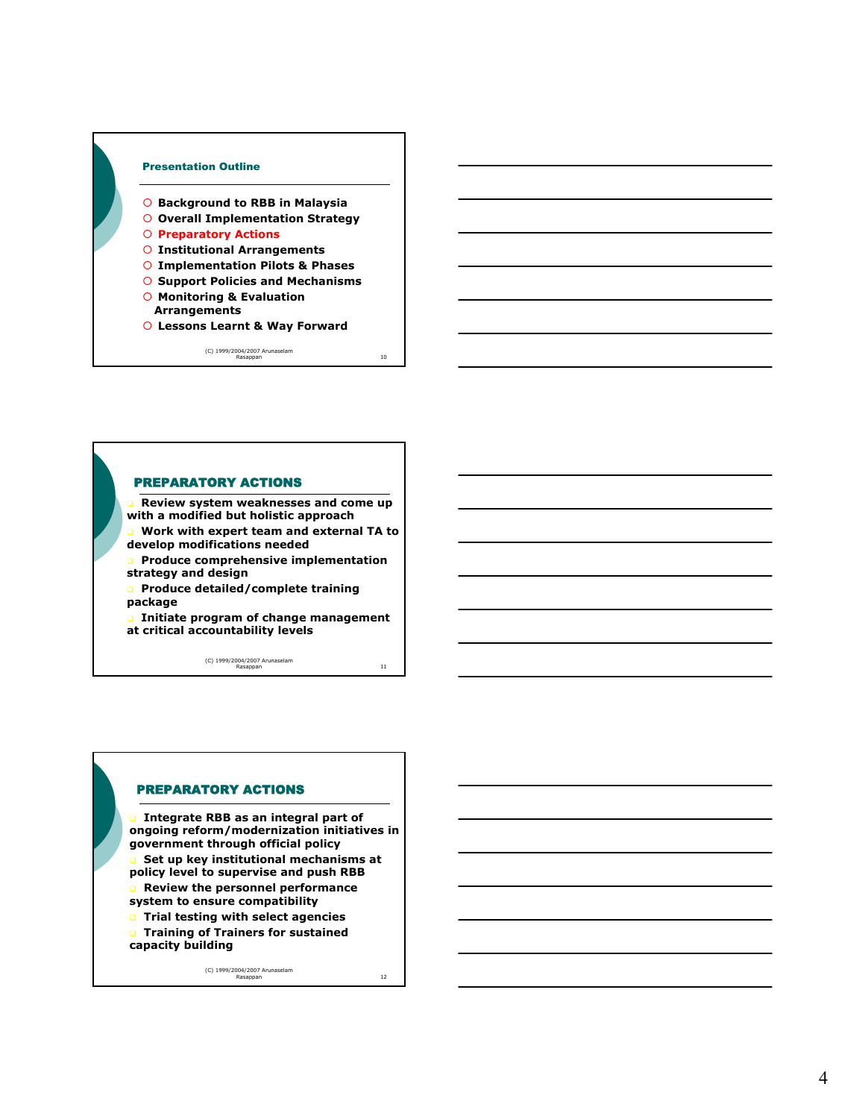

- { **Background to RBB in Malaysia**
- { **Overall Implementation Strategy**

#### { **Preparatory Actions**

- { **Institutional Arrangements**
- { **Implementation Pilots & Phases**
- { **Support Policies and Mechanisms**
- { **Monitoring & Evaluation Arrangements**
- { **Lessons Learnt & Way Forward**

(C) 1999/2004/2007 Arunaselam Rasappan 10



 **Review system weaknesses and come up with a modified but holistic approach**

- **Work with expert team and external TA to**
- **develop modifications needed**
- **Produce comprehensive implementation strategy and design**
- **Produce detailed/complete training package**

 **Initiate program of change management at critical accountability levels**

(C) 1999/2004/2007 Arunaselam Rasappan 11

## PREPARATORY ACTIONS

 **Integrate RBB as an integral part of ongoing reform/modernization initiatives in government through official policy Set up key institutional mechanisms at policy level to supervise and push RBB**

- **Review the personnel performance system to ensure compatibility**
- **Trial testing with select agencies Training of Trainers for sustained**
- **capacity building**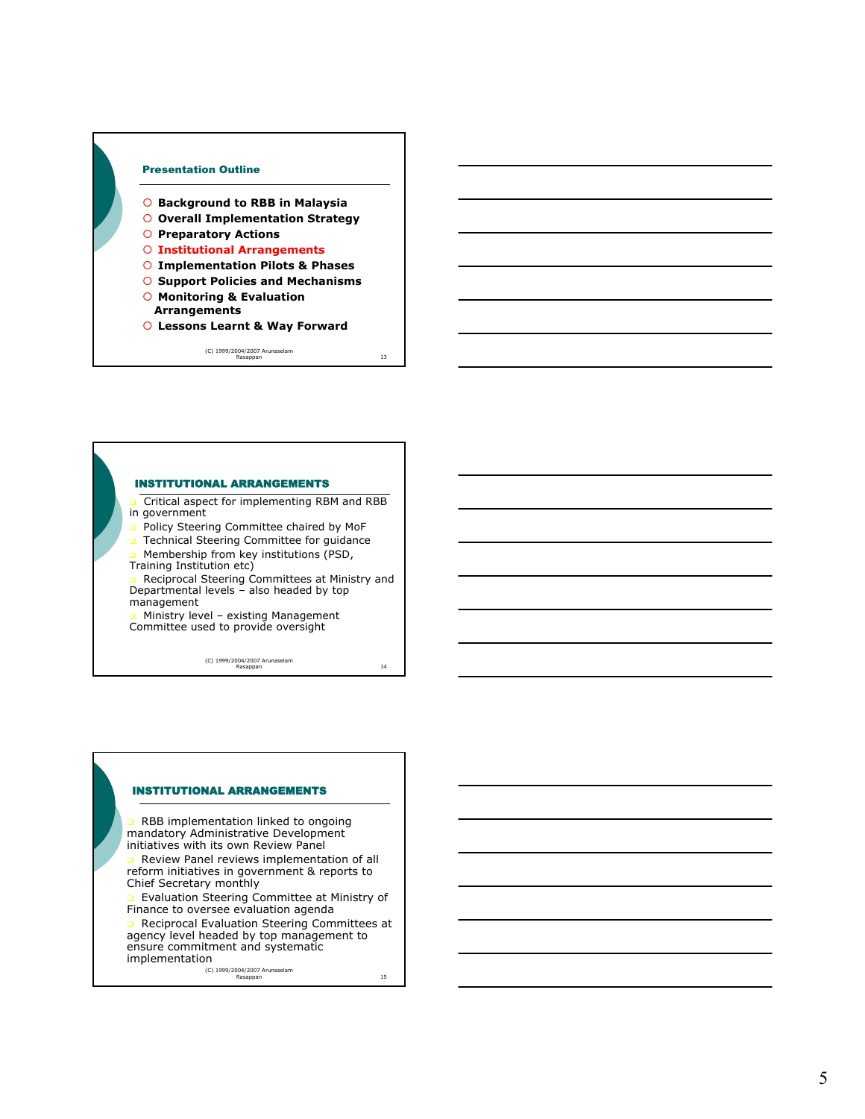

- { **Background to RBB in Malaysia**
- { **Overall Implementation Strategy**
- { **Preparatory Actions**

## { **Institutional Arrangements**

- { **Implementation Pilots & Phases**
- { **Support Policies and Mechanisms**
- { **Monitoring & Evaluation Arrangements**
- { **Lessons Learnt & Way Forward**

(C) 1999/2004/2007 Arunaselam Rasappan 13

### INSTITUTIONAL ARRANGEMENTS

 Critical aspect for implementing RBM and RBB in government

- **D** Policy Steering Committee chaired by MoF
- **D** Technical Steering Committee for guidance
- Membership from key institutions (PSD,
- Training Institution etc)

**a** Reciprocal Steering Committees at Ministry and Departmental levels – also headed by top management

n Ministry level – existing Management<br>Committee used to provide oversight

(C) 1999/2004/2007 Arunaselam Rasappan 14

#### INSTITUTIONAL ARRANGEMENTS

 RBB implementation linked to ongoing mandatory Administrative Development initiatives with its own Review Panel

 Review Panel reviews implementation of all reform initiatives in government & reports to Chief Secretary monthly

 Evaluation Steering Committee at Ministry of Finance to oversee evaluation agenda

Reciprocal Evaluation Steering Committees at agency level headed by top management to ensure commitment and systematic

implementation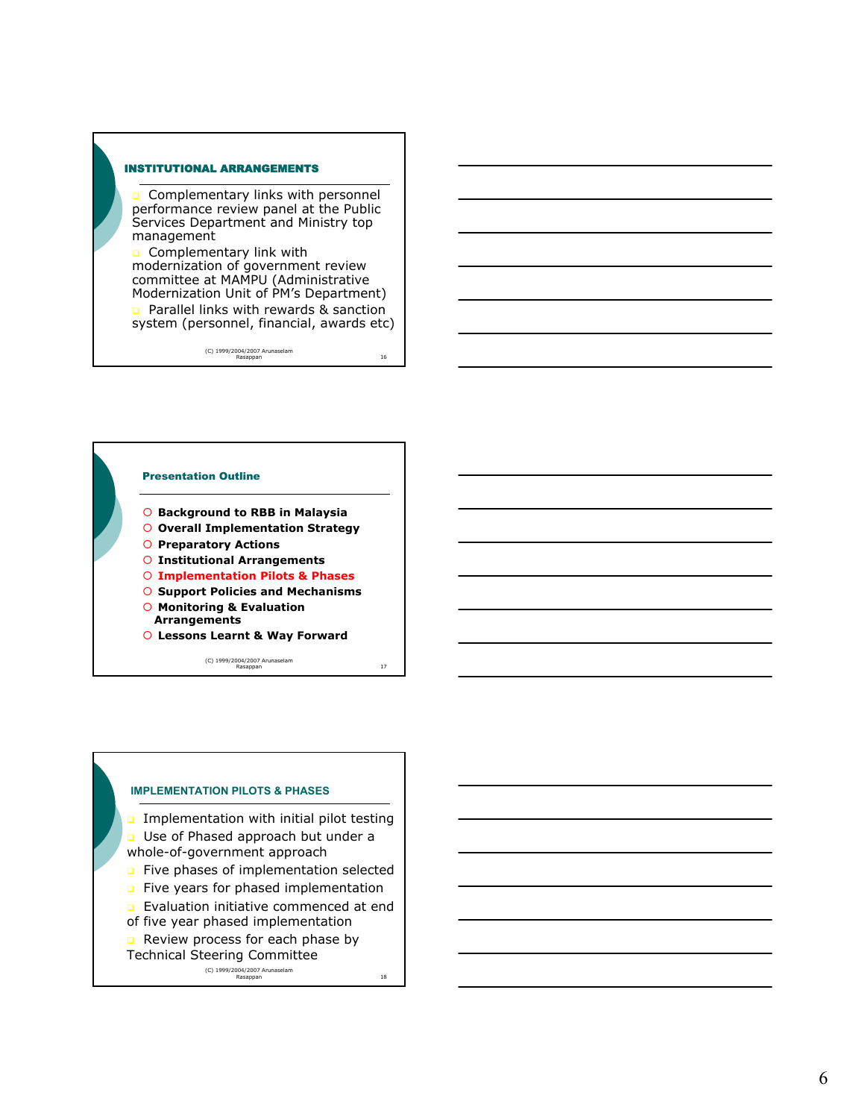### INSTITUTIONAL ARRANGEMENTS

 Complementary links with personnel performance review panel at the Public Services Department and Ministry top management

**Q** Complementary link with modernization of government review committee at MAMPU (Administrative Modernization Unit of PM's Department) **Parallel links with rewards & sanction** 

system (personnel, financial, awards etc)

(C) 1999/2004/2007 Arunaselam Rasappan 16



(C) 1999/2004/2007 Arunaselam Rasappan 17



6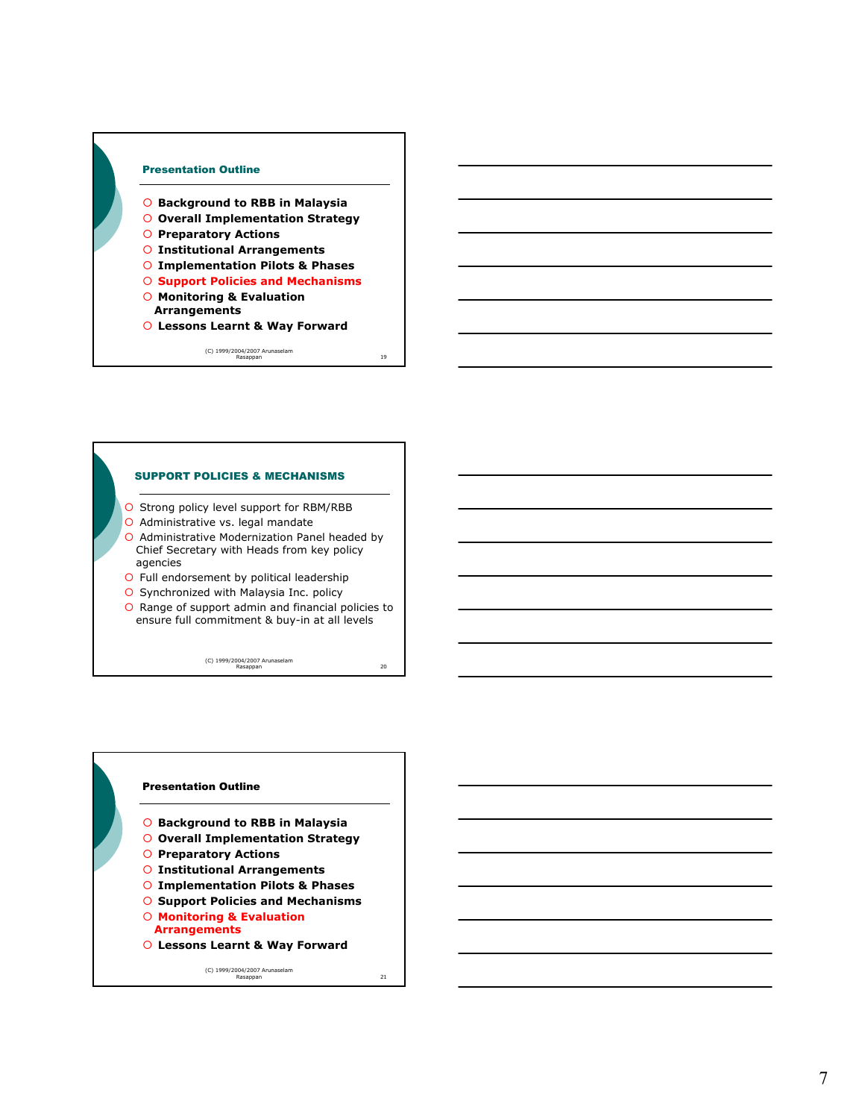

- { **Background to RBB in Malaysia**
- { **Overall Implementation Strategy**
- { **Preparatory Actions**
- { **Institutional Arrangements**
- { **Implementation Pilots & Phases**
- { **Support Policies and Mechanisms**
- { **Monitoring & Evaluation Arrangements**
- { **Lessons Learnt & Way Forward**

(C) 1999/2004/2007 Arunaselam Rasappan 19

### SUPPORT POLICIES & MECHANISMS

- { Strong policy level support for RBM/RBB
- O Administrative vs. legal mandate
- { Administrative Modernization Panel headed by Chief Secretary with Heads from key policy agencies
- { Full endorsement by political leadership
- { Synchronized with Malaysia Inc. policy
- { Range of support admin and financial policies to ensure full commitment & buy-in at all levels

(C) 1999/2004/2007 Arunaselam Rasappan 20

# Presentation Outline { **Background to RBB in Malaysia** { **Overall Implementation Strategy** { **Preparatory Actions** { **Institutional Arrangements** { **Implementation Pilots & Phases** { **Support Policies and Mechanisms** { **Monitoring & Evaluation Arrangements** { **Lessons Learnt & Way Forward**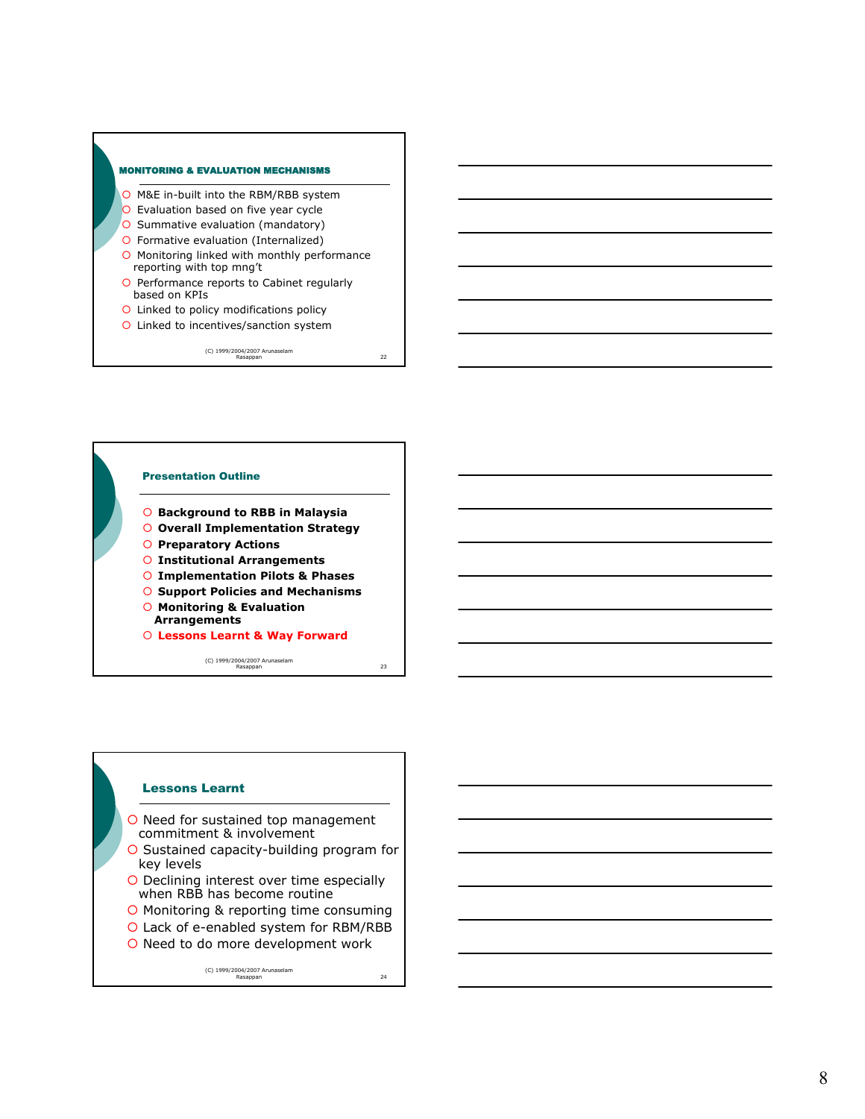

- { M&E in-built into the RBM/RBB system
- { Evaluation based on five year cycle
- O Summative evaluation (mandatory)
- { Formative evaluation (Internalized)
- { Monitoring linked with monthly performance reporting with top mng't
- { Performance reports to Cabinet regularly based on KPIs
- { Linked to policy modifications policy
- { Linked to incentives/sanction system

(C) 1999/2004/2007 Arunaselam Rasappan 22



(C) 1999/2004/2007 Arunaselam Rasappan 23

## Lessons Learnt

- { Need for sustained top management commitment & involvement
- { Sustained capacity-building program for key levels
- { Declining interest over time especially when RBB has become routine
- { Monitoring & reporting time consuming
- { Lack of e-enabled system for RBM/RBB
- { Need to do more development work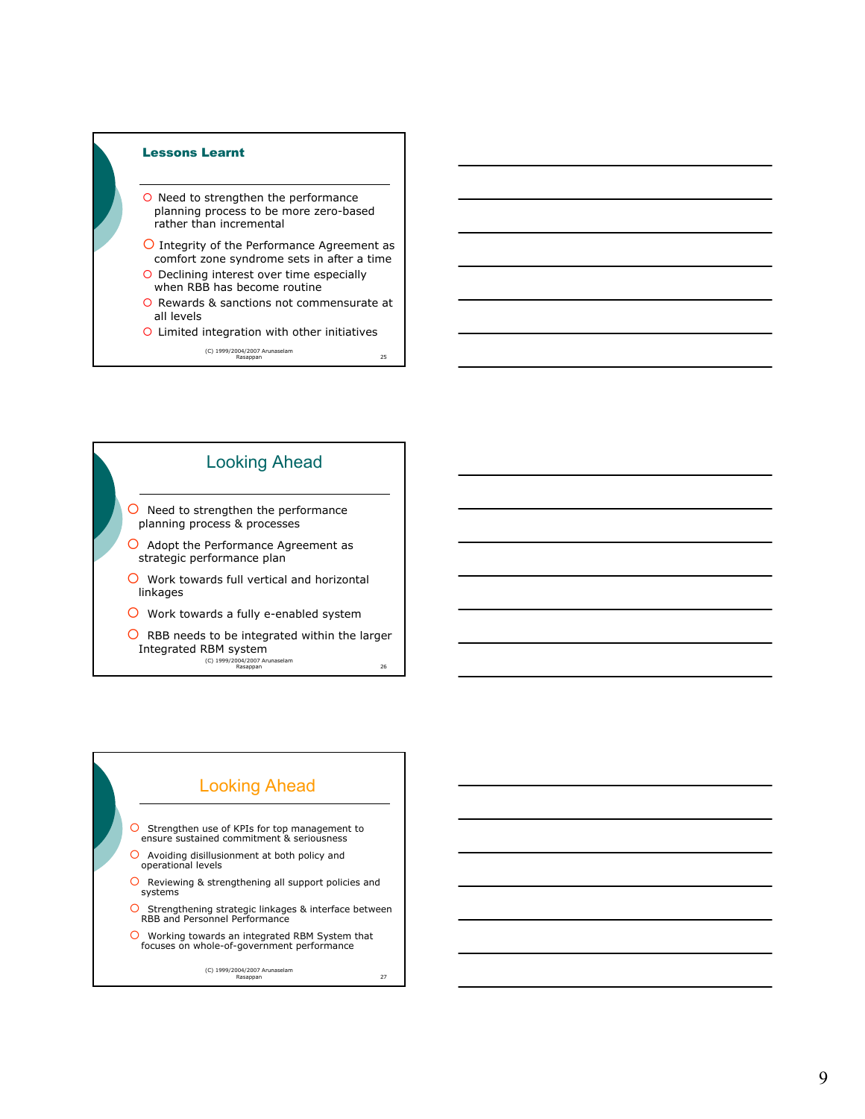